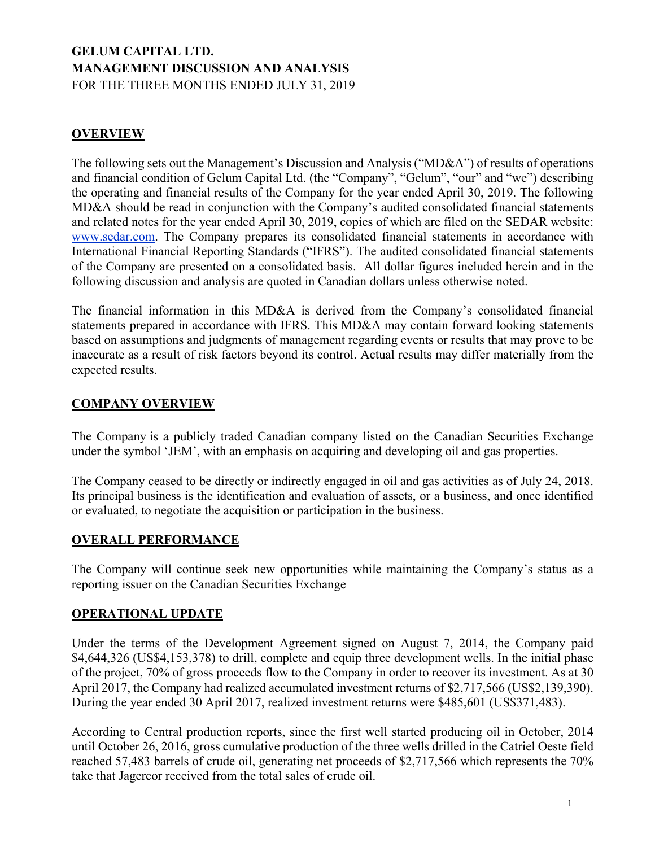# **GELUM CAPITAL LTD. MANAGEMENT DISCUSSION AND ANALYSIS** FOR THE THREE MONTHS ENDED JULY 31, 2019

# **OVERVIEW**

The following sets out the Management's Discussion and Analysis ("MD&A") of results of operations and financial condition of Gelum Capital Ltd. (the "Company", "Gelum", "our" and "we") describing the operating and financial results of the Company for the year ended April 30, 2019. The following MD&A should be read in conjunction with the Company's audited consolidated financial statements and related notes for the year ended April 30, 2019, copies of which are filed on the SEDAR website: www.sedar.com. The Company prepares its consolidated financial statements in accordance with International Financial Reporting Standards ("IFRS"). The audited consolidated financial statements of the Company are presented on a consolidated basis. All dollar figures included herein and in the following discussion and analysis are quoted in Canadian dollars unless otherwise noted.

The financial information in this MD&A is derived from the Company's consolidated financial statements prepared in accordance with IFRS. This MD&A may contain forward looking statements based on assumptions and judgments of management regarding events or results that may prove to be inaccurate as a result of risk factors beyond its control. Actual results may differ materially from the expected results.

# **COMPANY OVERVIEW**

The Company is a publicly traded Canadian company listed on the Canadian Securities Exchange under the symbol 'JEM', with an emphasis on acquiring and developing oil and gas properties.

The Company ceased to be directly or indirectly engaged in oil and gas activities as of July 24, 2018. Its principal business is the identification and evaluation of assets, or a business, and once identified or evaluated, to negotiate the acquisition or participation in the business.

# **OVERALL PERFORMANCE**

The Company will continue seek new opportunities while maintaining the Company's status as a reporting issuer on the Canadian Securities Exchange

# **OPERATIONAL UPDATE**

Under the terms of the Development Agreement signed on August 7, 2014, the Company paid \$4,644,326 (US\$4,153,378) to drill, complete and equip three development wells. In the initial phase of the project, 70% of gross proceeds flow to the Company in order to recover its investment. As at 30 April 2017, the Company had realized accumulated investment returns of \$2,717,566 (US\$2,139,390). During the year ended 30 April 2017, realized investment returns were \$485,601 (US\$371,483).

According to Central production reports, since the first well started producing oil in October, 2014 until October 26, 2016, gross cumulative production of the three wells drilled in the Catriel Oeste field reached 57,483 barrels of crude oil, generating net proceeds of \$2,717,566 which represents the 70% take that Jagercor received from the total sales of crude oil.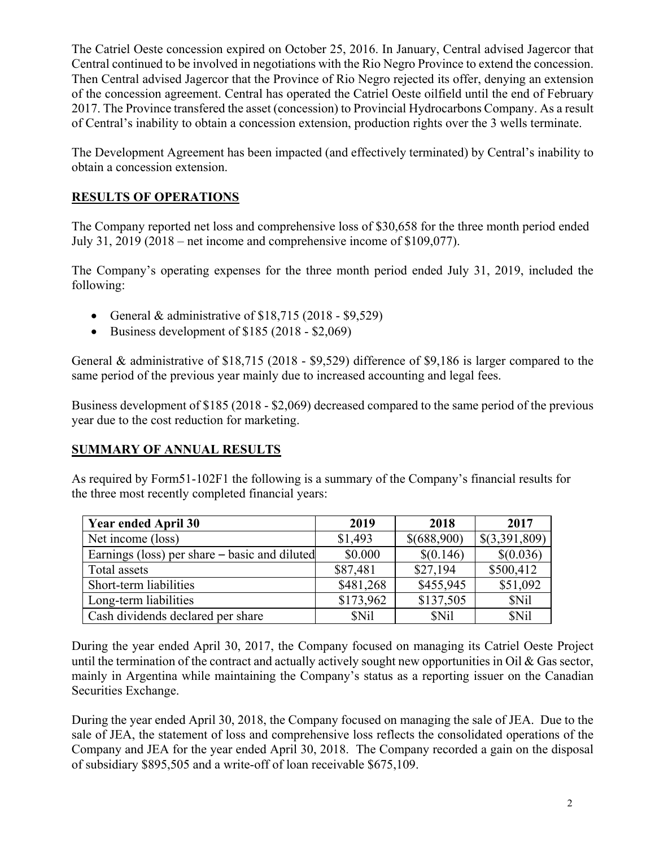The Catriel Oeste concession expired on October 25, 2016. In January, Central advised Jagercor that Central continued to be involved in negotiations with the Rio Negro Province to extend the concession. Then Central advised Jagercor that the Province of Rio Negro rejected its offer, denying an extension of the concession agreement. Central has operated the Catriel Oeste oilfield until the end of February 2017. The Province transfered the asset (concession) to Provincial Hydrocarbons Company. As a result of Central's inability to obtain a concession extension, production rights over the 3 wells terminate.

The Development Agreement has been impacted (and effectively terminated) by Central's inability to obtain a concession extension.

# **RESULTS OF OPERATIONS**

The Company reported net loss and comprehensive loss of \$30,658 for the three month period ended July 31, 2019 (2018 – net income and comprehensive income of \$109,077).

The Company's operating expenses for the three month period ended July 31, 2019, included the following:

- General & administrative of  $$18,715 (2018 $9,529)$
- Business development of  $$185 (2018 $2,069)$

General & administrative of \$18,715 (2018 - \$9,529) difference of \$9,186 is larger compared to the same period of the previous year mainly due to increased accounting and legal fees.

Business development of \$185 (2018 - \$2,069) decreased compared to the same period of the previous year due to the cost reduction for marketing.

# **SUMMARY OF ANNUAL RESULTS**

As required by Form51-102F1 the following is a summary of the Company's financial results for the three most recently completed financial years:

| <b>Year ended April 30</b>                    | 2019      | 2018        | 2017          |
|-----------------------------------------------|-----------|-------------|---------------|
| Net income (loss)                             | \$1,493   | \$(688,900) | \$(3,391,809) |
| Earnings (loss) per share – basic and diluted | \$0.000   | \$(0.146)   | \$(0.036)     |
| Total assets                                  | \$87,481  | \$27,194    | \$500,412     |
| Short-term liabilities                        | \$481,268 | \$455,945   | \$51,092      |
| Long-term liabilities                         | \$173,962 | \$137,505   | \$Nil         |
| Cash dividends declared per share             | \$Nil     | \$Nil       | \$Nil         |

During the year ended April 30, 2017, the Company focused on managing its Catriel Oeste Project until the termination of the contract and actually actively sought new opportunities in Oil  $\&$  Gas sector, mainly in Argentina while maintaining the Company's status as a reporting issuer on the Canadian Securities Exchange.

During the year ended April 30, 2018, the Company focused on managing the sale of JEA. Due to the sale of JEA, the statement of loss and comprehensive loss reflects the consolidated operations of the Company and JEA for the year ended April 30, 2018. The Company recorded a gain on the disposal of subsidiary \$895,505 and a write-off of loan receivable \$675,109.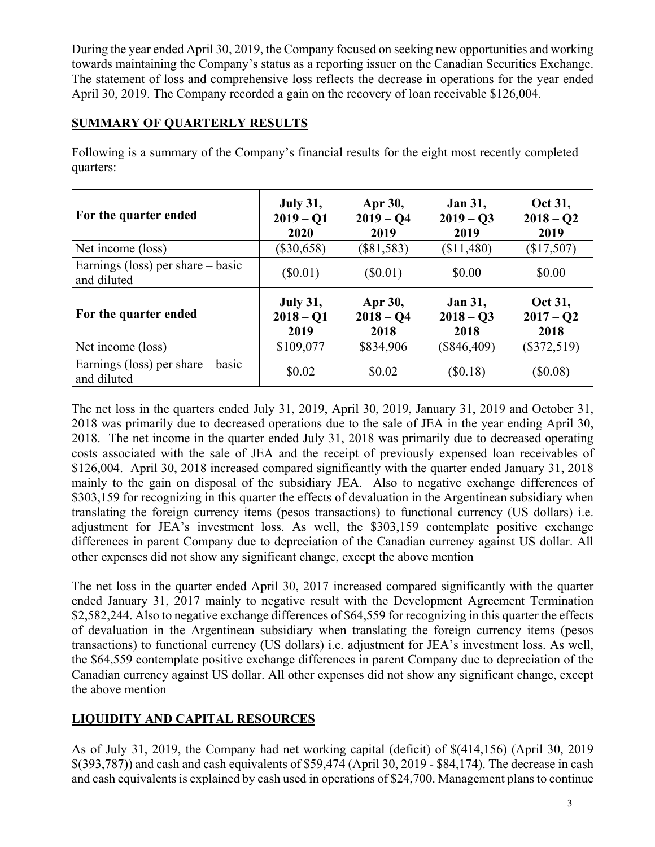During the year ended April 30, 2019, the Company focused on seeking new opportunities and working towards maintaining the Company's status as a reporting issuer on the Canadian Securities Exchange. The statement of loss and comprehensive loss reflects the decrease in operations for the year ended April 30, 2019. The Company recorded a gain on the recovery of loan receivable \$126,004.

# **SUMMARY OF QUARTERLY RESULTS**

| For the quarter ended                              | <b>July 31,</b><br>$2019 - Q1$<br>2020 | Apr 30,<br>$2019 - Q4$<br>2019 | <b>Jan 31,</b><br>$2019 - Q3$<br>2019 | Oct 31,<br>$2018 - Q2$<br>2019 |
|----------------------------------------------------|----------------------------------------|--------------------------------|---------------------------------------|--------------------------------|
| Net income (loss)                                  | $(\$30,658)$                           | $(\$81,583)$                   | (\$11,480)                            | (\$17,507)                     |
| Earnings (loss) per share $-$ basic<br>and diluted | $(\$0.01)$                             | $(\$0.01)$                     | \$0.00                                | \$0.00                         |
| For the quarter ended                              | <b>July 31,</b><br>$2018 - Q1$<br>2019 | Apr 30,<br>$2018 - Q4$<br>2018 | <b>Jan 31,</b><br>$2018 - 03$<br>2018 | Oct 31,<br>$2017 - Q2$<br>2018 |
| Net income (loss)                                  | \$109,077                              | \$834,906                      | $(\$846,409)$                         | $(\$372,519)$                  |
| Earnings (loss) per share $-$ basic<br>and diluted | \$0.02                                 | \$0.02                         | $(\$0.18)$                            | $(\$0.08)$                     |

Following is a summary of the Company's financial results for the eight most recently completed quarters:

The net loss in the quarters ended July 31, 2019, April 30, 2019, January 31, 2019 and October 31, 2018 was primarily due to decreased operations due to the sale of JEA in the year ending April 30, 2018. The net income in the quarter ended July 31, 2018 was primarily due to decreased operating costs associated with the sale of JEA and the receipt of previously expensed loan receivables of \$126,004. April 30, 2018 increased compared significantly with the quarter ended January 31, 2018 mainly to the gain on disposal of the subsidiary JEA. Also to negative exchange differences of \$303,159 for recognizing in this quarter the effects of devaluation in the Argentinean subsidiary when translating the foreign currency items (pesos transactions) to functional currency (US dollars) i.e. adjustment for JEA's investment loss. As well, the \$303,159 contemplate positive exchange differences in parent Company due to depreciation of the Canadian currency against US dollar. All other expenses did not show any significant change, except the above mention

The net loss in the quarter ended April 30, 2017 increased compared significantly with the quarter ended January 31, 2017 mainly to negative result with the Development Agreement Termination \$2,582,244. Also to negative exchange differences of \$64,559 for recognizing in this quarter the effects of devaluation in the Argentinean subsidiary when translating the foreign currency items (pesos transactions) to functional currency (US dollars) i.e. adjustment for JEA's investment loss. As well, the \$64,559 contemplate positive exchange differences in parent Company due to depreciation of the Canadian currency against US dollar. All other expenses did not show any significant change, except the above mention

# **LIQUIDITY AND CAPITAL RESOURCES**

As of July 31, 2019, the Company had net working capital (deficit) of \$(414,156) (April 30, 2019 \$(393,787)) and cash and cash equivalents of \$59,474 (April 30, 2019 - \$84,174). The decrease in cash and cash equivalents is explained by cash used in operations of \$24,700. Management plans to continue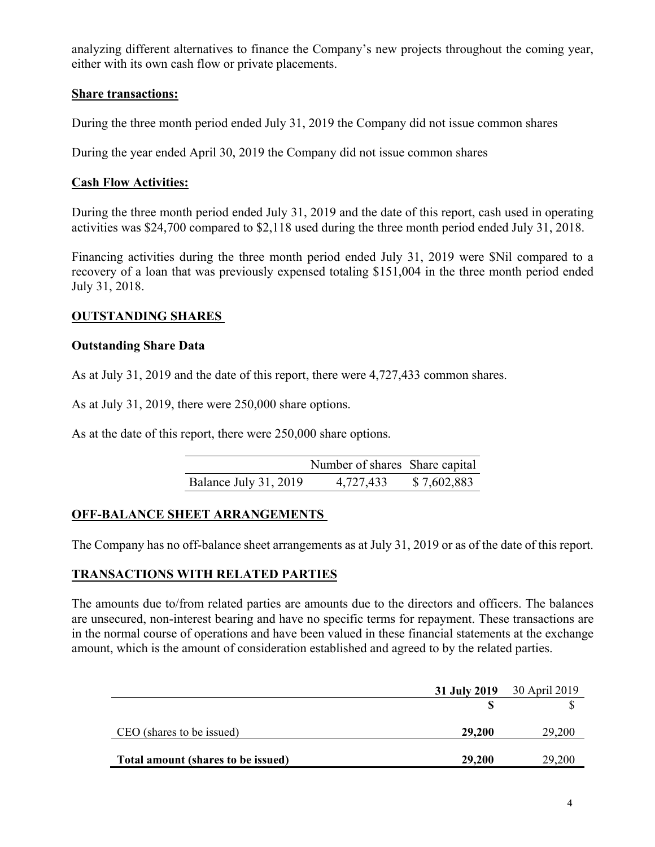analyzing different alternatives to finance the Company's new projects throughout the coming year, either with its own cash flow or private placements.

# **Share transactions:**

During the three month period ended July 31, 2019 the Company did not issue common shares

During the year ended April 30, 2019 the Company did not issue common shares

### **Cash Flow Activities:**

During the three month period ended July 31, 2019 and the date of this report, cash used in operating activities was \$24,700 compared to \$2,118 used during the three month period ended July 31, 2018.

Financing activities during the three month period ended July 31, 2019 were \$Nil compared to a recovery of a loan that was previously expensed totaling \$151,004 in the three month period ended July 31, 2018.

# **OUTSTANDING SHARES**

### **Outstanding Share Data**

As at July 31, 2019 and the date of this report, there were 4,727,433 common shares.

As at July 31, 2019, there were 250,000 share options.

As at the date of this report, there were 250,000 share options.

|                       | Number of shares Share capital |             |
|-----------------------|--------------------------------|-------------|
| Balance July 31, 2019 | 4,727,433                      | \$7,602,883 |

# **OFF-BALANCE SHEET ARRANGEMENTS**

The Company has no off-balance sheet arrangements as at July 31, 2019 or as of the date of this report.

# **TRANSACTIONS WITH RELATED PARTIES**

The amounts due to/from related parties are amounts due to the directors and officers. The balances are unsecured, non-interest bearing and have no specific terms for repayment. These transactions are in the normal course of operations and have been valued in these financial statements at the exchange amount, which is the amount of consideration established and agreed to by the related parties.

|                                    |        | <b>31 July 2019</b> 30 April 2019 |
|------------------------------------|--------|-----------------------------------|
|                                    |        |                                   |
| CEO (shares to be issued)          | 29,200 | 29,200                            |
| Total amount (shares to be issued) | 29,200 | 29,200                            |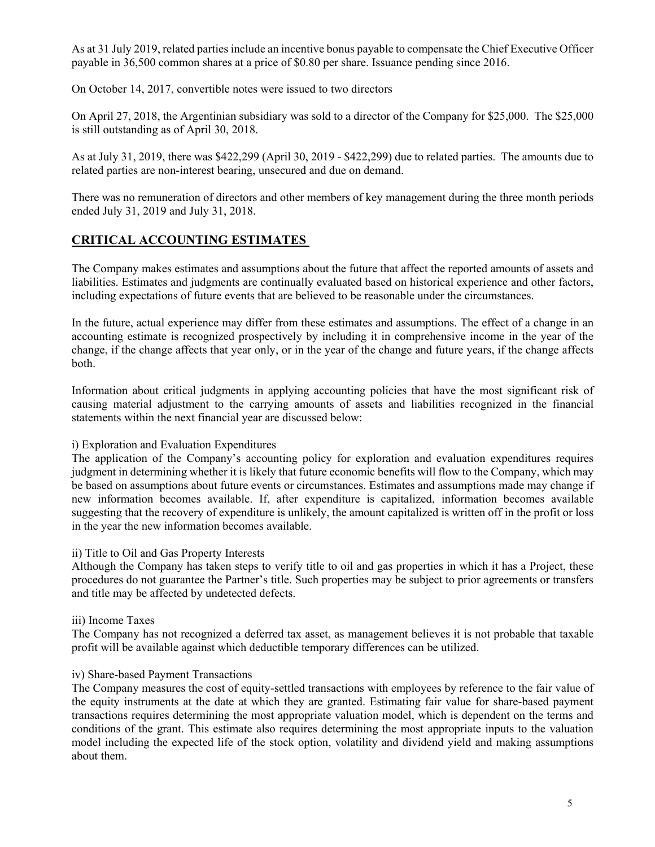As at 31 July 2019, related parties include an incentive bonus payable to compensate the Chief Executive Officer payable in 36,500 common shares at a price of \$0.80 per share. Issuance pending since 2016.

On October 14, 2017, convertible notes were issued to two directors

On April 27, 2018, the Argentinian subsidiary was sold to a director of the Company for \$25,000. The \$25,000 is still outstanding as of April 30, 2018.

As at July 31, 2019, there was \$422,299 (April 30, 2019 - \$422,299) due to related parties. The amounts due to related parties are non-interest bearing, unsecured and due on demand.

There was no remuneration of directors and other members of key management during the three month periods ended July 31, 2019 and July 31, 2018.

# **CRITICAL ACCOUNTING ESTIMATES**

The Company makes estimates and assumptions about the future that affect the reported amounts of assets and liabilities. Estimates and judgments are continually evaluated based on historical experience and other factors, including expectations of future events that are believed to be reasonable under the circumstances.

In the future, actual experience may differ from these estimates and assumptions. The effect of a change in an accounting estimate is recognized prospectively by including it in comprehensive income in the year of the change, if the change affects that year only, or in the year of the change and future years, if the change affects both.

Information about critical judgments in applying accounting policies that have the most significant risk of causing material adjustment to the carrying amounts of assets and liabilities recognized in the financial statements within the next financial year are discussed below:

### i) Exploration and Evaluation Expenditures

The application of the Company's accounting policy for exploration and evaluation expenditures requires judgment in determining whether it is likely that future economic benefits will flow to the Company, which may be based on assumptions about future events or circumstances. Estimates and assumptions made may change if new information becomes available. If, after expenditure is capitalized, information becomes available suggesting that the recovery of expenditure is unlikely, the amount capitalized is written off in the profit or loss in the year the new information becomes available.

#### ii) Title to Oil and Gas Property Interests

Although the Company has taken steps to verify title to oil and gas properties in which it has a Project, these procedures do not guarantee the Partner's title. Such properties may be subject to prior agreements or transfers and title may be affected by undetected defects.

#### iii) Income Taxes

The Company has not recognized a deferred tax asset, as management believes it is not probable that taxable profit will be available against which deductible temporary differences can be utilized.

#### iv) Share-based Payment Transactions

The Company measures the cost of equity-settled transactions with employees by reference to the fair value of the equity instruments at the date at which they are granted. Estimating fair value for share-based payment transactions requires determining the most appropriate valuation model, which is dependent on the terms and conditions of the grant. This estimate also requires determining the most appropriate inputs to the valuation model including the expected life of the stock option, volatility and dividend yield and making assumptions about them.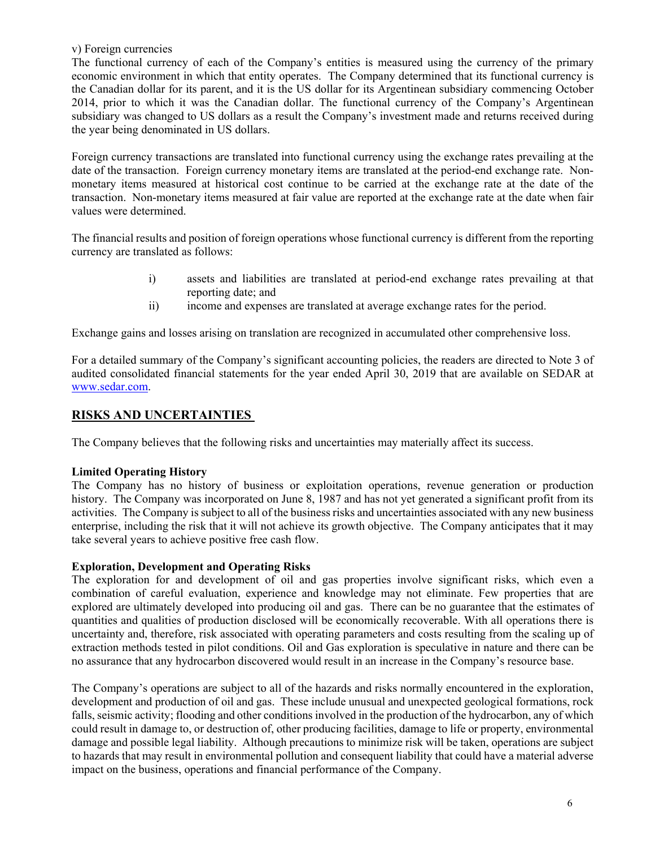v) Foreign currencies

The functional currency of each of the Company's entities is measured using the currency of the primary economic environment in which that entity operates. The Company determined that its functional currency is the Canadian dollar for its parent, and it is the US dollar for its Argentinean subsidiary commencing October 2014, prior to which it was the Canadian dollar. The functional currency of the Company's Argentinean subsidiary was changed to US dollars as a result the Company's investment made and returns received during the year being denominated in US dollars.

Foreign currency transactions are translated into functional currency using the exchange rates prevailing at the date of the transaction. Foreign currency monetary items are translated at the period-end exchange rate. Nonmonetary items measured at historical cost continue to be carried at the exchange rate at the date of the transaction. Non-monetary items measured at fair value are reported at the exchange rate at the date when fair values were determined.

The financial results and position of foreign operations whose functional currency is different from the reporting currency are translated as follows:

- i) assets and liabilities are translated at period-end exchange rates prevailing at that reporting date; and
- ii) income and expenses are translated at average exchange rates for the period.

Exchange gains and losses arising on translation are recognized in accumulated other comprehensive loss.

For a detailed summary of the Company's significant accounting policies, the readers are directed to Note 3 of audited consolidated financial statements for the year ended April 30, 2019 that are available on SEDAR at www.sedar.com.

### **RISKS AND UNCERTAINTIES**

The Company believes that the following risks and uncertainties may materially affect its success.

### **Limited Operating History**

The Company has no history of business or exploitation operations, revenue generation or production history. The Company was incorporated on June 8, 1987 and has not yet generated a significant profit from its activities. The Company is subject to all of the business risks and uncertainties associated with any new business enterprise, including the risk that it will not achieve its growth objective. The Company anticipates that it may take several years to achieve positive free cash flow.

#### **Exploration, Development and Operating Risks**

The exploration for and development of oil and gas properties involve significant risks, which even a combination of careful evaluation, experience and knowledge may not eliminate. Few properties that are explored are ultimately developed into producing oil and gas. There can be no guarantee that the estimates of quantities and qualities of production disclosed will be economically recoverable. With all operations there is uncertainty and, therefore, risk associated with operating parameters and costs resulting from the scaling up of extraction methods tested in pilot conditions. Oil and Gas exploration is speculative in nature and there can be no assurance that any hydrocarbon discovered would result in an increase in the Company's resource base.

The Company's operations are subject to all of the hazards and risks normally encountered in the exploration, development and production of oil and gas. These include unusual and unexpected geological formations, rock falls, seismic activity; flooding and other conditions involved in the production of the hydrocarbon, any of which could result in damage to, or destruction of, other producing facilities, damage to life or property, environmental damage and possible legal liability. Although precautions to minimize risk will be taken, operations are subject to hazards that may result in environmental pollution and consequent liability that could have a material adverse impact on the business, operations and financial performance of the Company.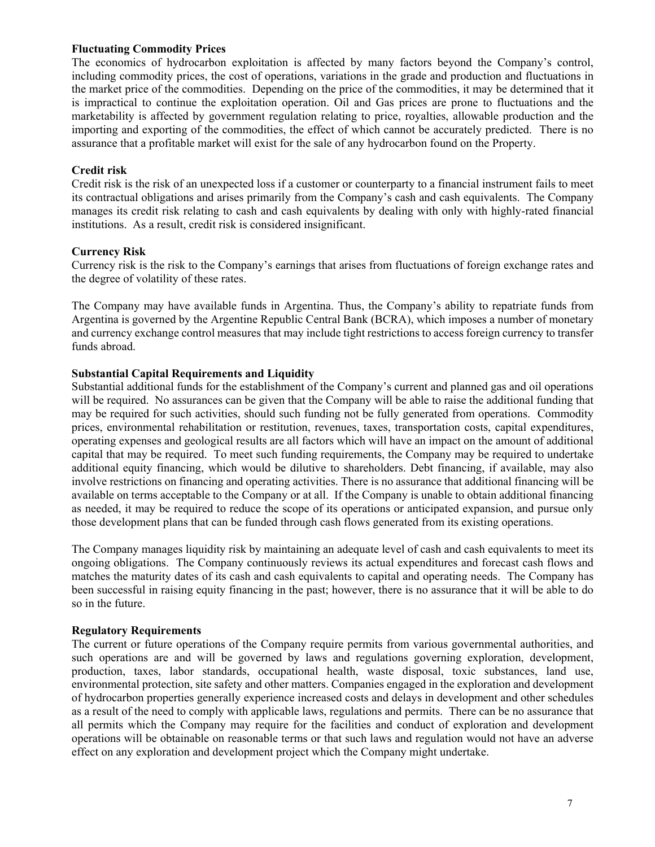#### **Fluctuating Commodity Prices**

The economics of hydrocarbon exploitation is affected by many factors beyond the Company's control, including commodity prices, the cost of operations, variations in the grade and production and fluctuations in the market price of the commodities. Depending on the price of the commodities, it may be determined that it is impractical to continue the exploitation operation. Oil and Gas prices are prone to fluctuations and the marketability is affected by government regulation relating to price, royalties, allowable production and the importing and exporting of the commodities, the effect of which cannot be accurately predicted. There is no assurance that a profitable market will exist for the sale of any hydrocarbon found on the Property.

#### **Credit risk**

Credit risk is the risk of an unexpected loss if a customer or counterparty to a financial instrument fails to meet its contractual obligations and arises primarily from the Company's cash and cash equivalents. The Company manages its credit risk relating to cash and cash equivalents by dealing with only with highly-rated financial institutions. As a result, credit risk is considered insignificant.

#### **Currency Risk**

Currency risk is the risk to the Company's earnings that arises from fluctuations of foreign exchange rates and the degree of volatility of these rates.

The Company may have available funds in Argentina. Thus, the Company's ability to repatriate funds from Argentina is governed by the Argentine Republic Central Bank (BCRA), which imposes a number of monetary and currency exchange control measures that may include tight restrictions to access foreign currency to transfer funds abroad.

#### **Substantial Capital Requirements and Liquidity**

Substantial additional funds for the establishment of the Company's current and planned gas and oil operations will be required. No assurances can be given that the Company will be able to raise the additional funding that may be required for such activities, should such funding not be fully generated from operations. Commodity prices, environmental rehabilitation or restitution, revenues, taxes, transportation costs, capital expenditures, operating expenses and geological results are all factors which will have an impact on the amount of additional capital that may be required. To meet such funding requirements, the Company may be required to undertake additional equity financing, which would be dilutive to shareholders. Debt financing, if available, may also involve restrictions on financing and operating activities. There is no assurance that additional financing will be available on terms acceptable to the Company or at all. If the Company is unable to obtain additional financing as needed, it may be required to reduce the scope of its operations or anticipated expansion, and pursue only those development plans that can be funded through cash flows generated from its existing operations.

The Company manages liquidity risk by maintaining an adequate level of cash and cash equivalents to meet its ongoing obligations. The Company continuously reviews its actual expenditures and forecast cash flows and matches the maturity dates of its cash and cash equivalents to capital and operating needs. The Company has been successful in raising equity financing in the past; however, there is no assurance that it will be able to do so in the future.

### **Regulatory Requirements**

The current or future operations of the Company require permits from various governmental authorities, and such operations are and will be governed by laws and regulations governing exploration, development, production, taxes, labor standards, occupational health, waste disposal, toxic substances, land use, environmental protection, site safety and other matters. Companies engaged in the exploration and development of hydrocarbon properties generally experience increased costs and delays in development and other schedules as a result of the need to comply with applicable laws, regulations and permits. There can be no assurance that all permits which the Company may require for the facilities and conduct of exploration and development operations will be obtainable on reasonable terms or that such laws and regulation would not have an adverse effect on any exploration and development project which the Company might undertake.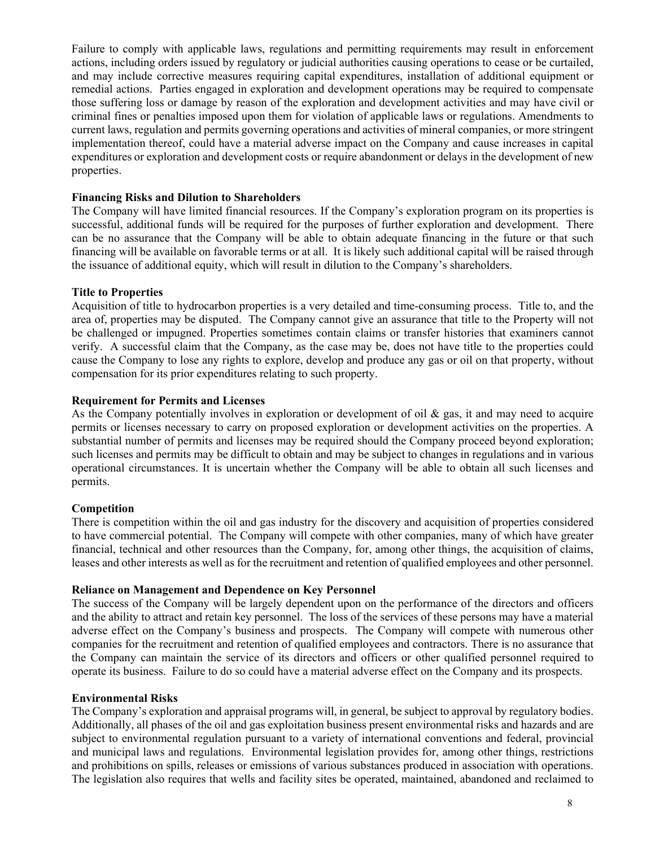Failure to comply with applicable laws, regulations and permitting requirements may result in enforcement actions, including orders issued by regulatory or judicial authorities causing operations to cease or be curtailed, and may include corrective measures requiring capital expenditures, installation of additional equipment or remedial actions. Parties engaged in exploration and development operations may be required to compensate those suffering loss or damage by reason of the exploration and development activities and may have civil or criminal fines or penalties imposed upon them for violation of applicable laws or regulations. Amendments to current laws, regulation and permits governing operations and activities of mineral companies, or more stringent implementation thereof, could have a material adverse impact on the Company and cause increases in capital expenditures or exploration and development costs or require abandonment or delays in the development of new properties.

### **Financing Risks and Dilution to Shareholders**

The Company will have limited financial resources. If the Company's exploration program on its properties is successful, additional funds will be required for the purposes of further exploration and development. There can be no assurance that the Company will be able to obtain adequate financing in the future or that such financing will be available on favorable terms or at all. It is likely such additional capital will be raised through the issuance of additional equity, which will result in dilution to the Company's shareholders.

### **Title to Properties**

Acquisition of title to hydrocarbon properties is a very detailed and time-consuming process. Title to, and the area of, properties may be disputed. The Company cannot give an assurance that title to the Property will not be challenged or impugned. Properties sometimes contain claims or transfer histories that examiners cannot verify. A successful claim that the Company, as the case may be, does not have title to the properties could cause the Company to lose any rights to explore, develop and produce any gas or oil on that property, without compensation for its prior expenditures relating to such property.

### **Requirement for Permits and Licenses**

As the Company potentially involves in exploration or development of oil  $\&$  gas, it and may need to acquire permits or licenses necessary to carry on proposed exploration or development activities on the properties. A substantial number of permits and licenses may be required should the Company proceed beyond exploration; such licenses and permits may be difficult to obtain and may be subject to changes in regulations and in various operational circumstances. It is uncertain whether the Company will be able to obtain all such licenses and permits.

### **Competition**

There is competition within the oil and gas industry for the discovery and acquisition of properties considered to have commercial potential. The Company will compete with other companies, many of which have greater financial, technical and other resources than the Company, for, among other things, the acquisition of claims, leases and other interests as well as for the recruitment and retention of qualified employees and other personnel.

#### **Reliance on Management and Dependence on Key Personnel**

The success of the Company will be largely dependent upon on the performance of the directors and officers and the ability to attract and retain key personnel. The loss of the services of these persons may have a material adverse effect on the Company's business and prospects. The Company will compete with numerous other companies for the recruitment and retention of qualified employees and contractors. There is no assurance that the Company can maintain the service of its directors and officers or other qualified personnel required to operate its business. Failure to do so could have a material adverse effect on the Company and its prospects.

#### **Environmental Risks**

The Company's exploration and appraisal programs will, in general, be subject to approval by regulatory bodies. Additionally, all phases of the oil and gas exploitation business present environmental risks and hazards and are subject to environmental regulation pursuant to a variety of international conventions and federal, provincial and municipal laws and regulations. Environmental legislation provides for, among other things, restrictions and prohibitions on spills, releases or emissions of various substances produced in association with operations. The legislation also requires that wells and facility sites be operated, maintained, abandoned and reclaimed to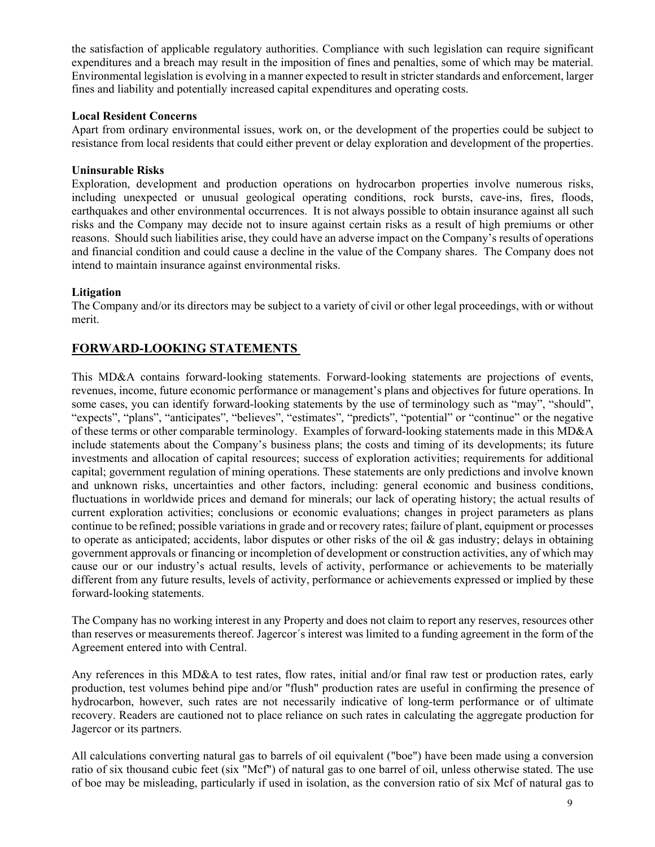the satisfaction of applicable regulatory authorities. Compliance with such legislation can require significant expenditures and a breach may result in the imposition of fines and penalties, some of which may be material. Environmental legislation is evolving in a manner expected to result in stricter standards and enforcement, larger fines and liability and potentially increased capital expenditures and operating costs.

### **Local Resident Concerns**

Apart from ordinary environmental issues, work on, or the development of the properties could be subject to resistance from local residents that could either prevent or delay exploration and development of the properties.

### **Uninsurable Risks**

Exploration, development and production operations on hydrocarbon properties involve numerous risks, including unexpected or unusual geological operating conditions, rock bursts, cave-ins, fires, floods, earthquakes and other environmental occurrences. It is not always possible to obtain insurance against all such risks and the Company may decide not to insure against certain risks as a result of high premiums or other reasons. Should such liabilities arise, they could have an adverse impact on the Company's results of operations and financial condition and could cause a decline in the value of the Company shares. The Company does not intend to maintain insurance against environmental risks.

### **Litigation**

The Company and/or its directors may be subject to a variety of civil or other legal proceedings, with or without merit.

# **FORWARD-LOOKING STATEMENTS**

This MD&A contains forward-looking statements. Forward-looking statements are projections of events, revenues, income, future economic performance or management's plans and objectives for future operations. In some cases, you can identify forward-looking statements by the use of terminology such as "may", "should", "expects", "plans", "anticipates", "believes", "estimates", "predicts", "potential" or "continue" or the negative of these terms or other comparable terminology. Examples of forward-looking statements made in this MD&A include statements about the Company's business plans; the costs and timing of its developments; its future investments and allocation of capital resources; success of exploration activities; requirements for additional capital; government regulation of mining operations. These statements are only predictions and involve known and unknown risks, uncertainties and other factors, including: general economic and business conditions, fluctuations in worldwide prices and demand for minerals; our lack of operating history; the actual results of current exploration activities; conclusions or economic evaluations; changes in project parameters as plans continue to be refined; possible variations in grade and or recovery rates; failure of plant, equipment or processes to operate as anticipated; accidents, labor disputes or other risks of the oil  $\&$  gas industry; delays in obtaining government approvals or financing or incompletion of development or construction activities, any of which may cause our or our industry's actual results, levels of activity, performance or achievements to be materially different from any future results, levels of activity, performance or achievements expressed or implied by these forward-looking statements.

The Company has no working interest in any Property and does not claim to report any reserves, resources other than reserves or measurements thereof. Jagercor´s interest was limited to a funding agreement in the form of the Agreement entered into with Central.

Any references in this MD&A to test rates, flow rates, initial and/or final raw test or production rates, early production, test volumes behind pipe and/or "flush" production rates are useful in confirming the presence of hydrocarbon, however, such rates are not necessarily indicative of long-term performance or of ultimate recovery. Readers are cautioned not to place reliance on such rates in calculating the aggregate production for Jagercor or its partners.

All calculations converting natural gas to barrels of oil equivalent ("boe") have been made using a conversion ratio of six thousand cubic feet (six "Mcf") of natural gas to one barrel of oil, unless otherwise stated. The use of boe may be misleading, particularly if used in isolation, as the conversion ratio of six Mcf of natural gas to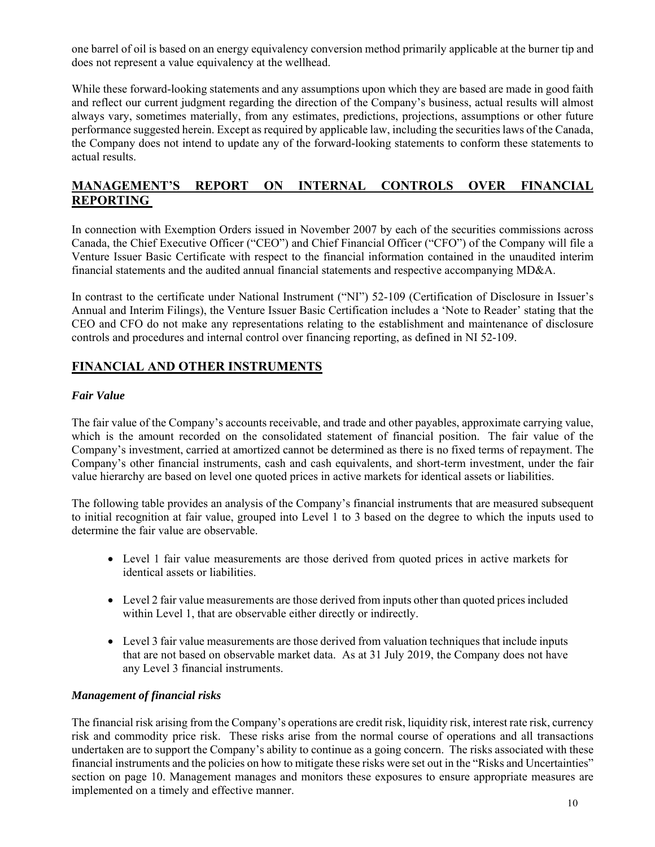one barrel of oil is based on an energy equivalency conversion method primarily applicable at the burner tip and does not represent a value equivalency at the wellhead.

While these forward-looking statements and any assumptions upon which they are based are made in good faith and reflect our current judgment regarding the direction of the Company's business, actual results will almost always vary, sometimes materially, from any estimates, predictions, projections, assumptions or other future performance suggested herein. Except as required by applicable law, including the securities laws of the Canada, the Company does not intend to update any of the forward-looking statements to conform these statements to actual results.

# **MANAGEMENT'S REPORT ON INTERNAL CONTROLS OVER FINANCIAL REPORTING**

In connection with Exemption Orders issued in November 2007 by each of the securities commissions across Canada, the Chief Executive Officer ("CEO") and Chief Financial Officer ("CFO") of the Company will file a Venture Issuer Basic Certificate with respect to the financial information contained in the unaudited interim financial statements and the audited annual financial statements and respective accompanying MD&A.

In contrast to the certificate under National Instrument ("NI") 52-109 (Certification of Disclosure in Issuer's Annual and Interim Filings), the Venture Issuer Basic Certification includes a 'Note to Reader' stating that the CEO and CFO do not make any representations relating to the establishment and maintenance of disclosure controls and procedures and internal control over financing reporting, as defined in NI 52-109.

# **FINANCIAL AND OTHER INSTRUMENTS**

### *Fair Value*

The fair value of the Company's accounts receivable, and trade and other payables, approximate carrying value, which is the amount recorded on the consolidated statement of financial position. The fair value of the Company's investment, carried at amortized cannot be determined as there is no fixed terms of repayment. The Company's other financial instruments, cash and cash equivalents, and short-term investment, under the fair value hierarchy are based on level one quoted prices in active markets for identical assets or liabilities.

The following table provides an analysis of the Company's financial instruments that are measured subsequent to initial recognition at fair value, grouped into Level 1 to 3 based on the degree to which the inputs used to determine the fair value are observable.

- Level 1 fair value measurements are those derived from quoted prices in active markets for identical assets or liabilities.
- Level 2 fair value measurements are those derived from inputs other than quoted prices included within Level 1, that are observable either directly or indirectly.
- Level 3 fair value measurements are those derived from valuation techniques that include inputs that are not based on observable market data. As at 31 July 2019, the Company does not have any Level 3 financial instruments.

### *Management of financial risks*

The financial risk arising from the Company's operations are credit risk, liquidity risk, interest rate risk, currency risk and commodity price risk. These risks arise from the normal course of operations and all transactions undertaken are to support the Company's ability to continue as a going concern. The risks associated with these financial instruments and the policies on how to mitigate these risks were set out in the "Risks and Uncertainties" section on page 10. Management manages and monitors these exposures to ensure appropriate measures are implemented on a timely and effective manner.